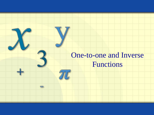## One-to-one and Inverse Functions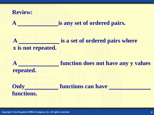

**Copyright © by Houghton Mifflin Company, Inc. All rights reserved. 2**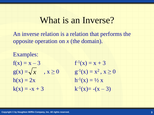## What is an Inverse?

An inverse relation is a relation that performs the opposite operation on *x* (the domain).

Examples:  $f(x) = x - 3$  $f^{-1}(x) = x + 3$  $g(x) = \sqrt{x}$ ,  $x \ge 0$  g  $x^{-1}(x) = x^2, x \ge 0$  $h(x) = 2x$  $z^{-1}(x) = \frac{1}{2}x$  $k(x) = -x + 3$  $-1(x) = -(x - 3)$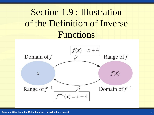# Section 1.9 : Illustration of the Definition of Inverse Functions

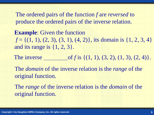The ordered pairs of the function *f* are *reversed* to produce the ordered pairs of the inverse relation.

**Example**: Given the function  $f = \{(1, 1), (2, 3), (3, 1), (4, 2)\}$ , its domain is  $\{1, 2, 3, 4\}$ and its range is  $\{1, 2, 3\}$ .

The inverse  $of$  *f* is  $\{(1, 1), (3, 2), (1, 3), (2, 4)\}.$ 

The *domain* of the inverse relation is the *range* of the original function.

The *range* of the inverse relation is the *domain* of the original function.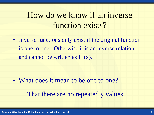# How do we know if an inverse function exists?

• Inverse functions only exist if the original function is one to one. Otherwise it is an inverse relation and cannot be written as  $f^{-1}(x)$ .

• What does it mean to be one to one? That there are no repeated y values.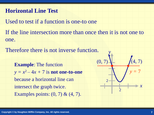#### **Horizontal Line Test**

Used to test if a function is one-to one

If the line intersection more than once then it is not one to one.

Therefore there is not inverse function.

**Example**: The function  $y = x^2 - 4x + 7$  is **not one-to-one** because a horizontal line can intersect the graph twice. Examples points: (0, 7) & (4, 7).

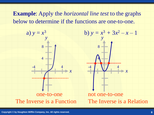**Example**: Apply the *horizontal line test* to the graphs below to determine if the functions are one-to-one.

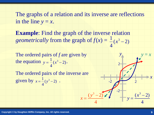The graphs of a relation and its inverse are reflections in the line  $y = x$ .

4

 $(y^3-2)$ 3 Ļ.

*y*

 $=$ 

*x*

**Example:** Find the graph of the inverse relation *geometrically* from the graph of  $f(x) = \frac{1}{x}(x^3 - 2)$ 4  $1^{3}$  $x^3$  –

The ordered pairs of *f* are given by the equation  $y = \frac{1}{2}(x^3 - 2)$ . 4  $1$   $3^3$  $y = \frac{1}{4}(x^3 -$ 

The ordered pairs of the inverse are given by  $x = \frac{1}{2}(y^3 - 2)$ . 4  $1^{3}$  $x = \frac{1}{x}(y^3 - y^2)$ 

*x*

4

 $(x^3-2)$ 3  $\overline{\phantom{0}}$ 

*x*

 $\Rightarrow$ 

*y*

*y*

2

 $-2$  2

-2

 $y = x$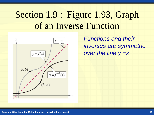# Section 1.9: Figure 1.93, Graph of an Inverse Function



*Functions and their inverses are symmetric over the line y =x*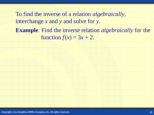**Example**: Find the inverse relation *algebraically* for the function  $f(x) = 3x + 2$ . To find the inverse of a relation *algebraically*, interchange *x* and *y* and solve for *y*.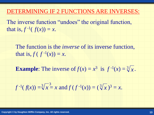#### DETERMINING IF 2 FUNCTIONS ARE INVERSES:

The inverse function "undoes" the original function, that is,  $f^{-1}(f(x)) = x$ .

The function is the *inverse* of its inverse function, that is,  $f(f^{-1}(x)) = x$ .

**Example:** The inverse of  $f(x) = x^3$  is  $f^{-1}(x) = \sqrt[3]{x}$ .

$$
f^{-1}(f(x)) = \sqrt[3]{x}^3 = x
$$
 and  $f(f^{-1}(x)) = (\sqrt[3]{x})^3 = x$ .

**Copyright © by Houghton Mifflin Company, Inc. All rights reserved. 13**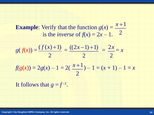**Example:** Verify that the function  $g(x) =$ is the *inverse* of  $f(x) = 2x - 1$ . 2  $x + 1$ 

$$
g(f(x)) = \frac{(f(x)+1)}{2} = \frac{((2x-1)+1)}{2} = \frac{2x}{2} = x
$$
  

$$
f(g(x)) = 2g(x) - 1 = 2(\frac{x+1}{2}) - 1 = (x+1) - 1 = x
$$

It follows that  $g = f^{-1}$ .

**Copyright © by Houghton Mifflin Company, Inc. All rights reserved. 14**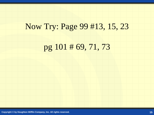## Now Try: Page 99 #13, 15, 23

## pg 101 # 69, 71, 73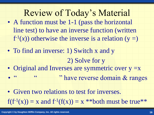- Review of Today's Material • A function must be 1-1 (pass the horizontal line test) to have an inverse function (written  $f^{-1}(x)$  otherwise the inverse is a relation (y =)
- To find an inverse: 1) Switch x and y 2) Solve for y
- Original and Inverses are symmetric over  $y = x$
- " <sup>"</sup> have reverse domain & ranges
- Given two relations to test for inverses.  $f(f^{-1}(x)) = x$  and  $f^{-1}(f(x)) = x$  \*\*both must be true\*\*